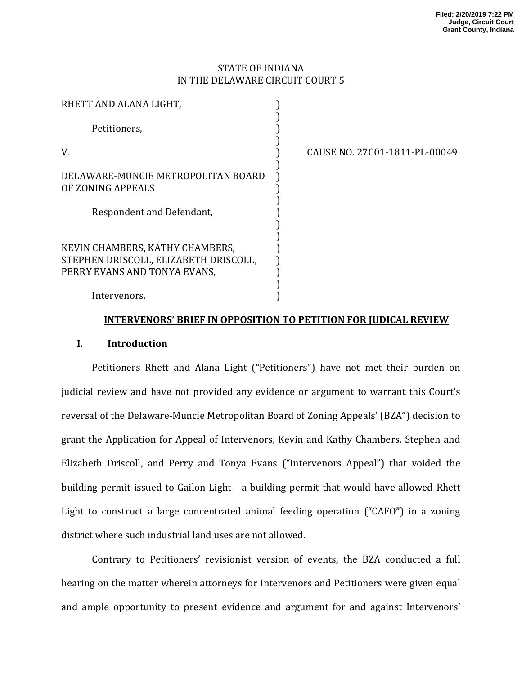# STATE OF INDIANA IN THE DELAWARE CIRCUIT COURT 5

| RHETT AND ALANA LIGHT,                                                                                   |       |
|----------------------------------------------------------------------------------------------------------|-------|
| Petitioners,                                                                                             |       |
| V                                                                                                        | CAUSE |
| DELAWARE-MUNCIE METROPOLITAN BOARD<br>OF ZONING APPEALS                                                  |       |
| Respondent and Defendant,                                                                                |       |
| KEVIN CHAMBERS, KATHY CHAMBERS,<br>STEPHEN DRISCOLL, ELIZABETH DRISCOLL,<br>PERRY EVANS AND TONYA EVANS, |       |
| Intervenors                                                                                              |       |

NO. 27C01-1811-PL-00049

#### Intervenors. )

## **INTERVENORS' BRIEF IN OPPOSITION TO PETITION FOR JUDICAL REVIEW**

# **I. Introduction**

Petitioners Rhett and Alana Light ("Petitioners") have not met their burden on judicial review and have not provided any evidence or argument to warrant this Court's reversal of the Delaware-Muncie Metropolitan Board of Zoning Appeals' (BZA") decision to grant the Application for Appeal of Intervenors, Kevin and Kathy Chambers, Stephen and Elizabeth Driscoll, and Perry and Tonya Evans ("Intervenors Appeal") that voided the building permit issued to Gailon Light—a building permit that would have allowed Rhett Light to construct a large concentrated animal feeding operation  $("CAFO")$  in a zoning district where such industrial land uses are not allowed.

Contrary to Petitioners' revisionist version of events, the BZA conducted a full hearing on the matter wherein attorneys for Intervenors and Petitioners were given equal and ample opportunity to present evidence and argument for and against Intervenors'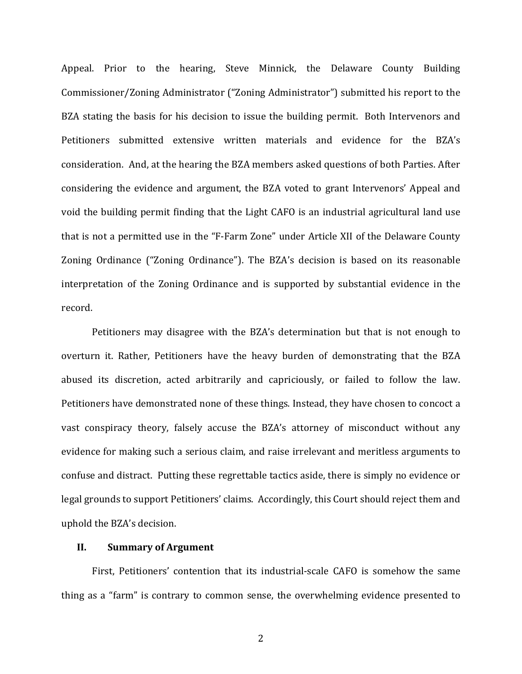Appeal. Prior to the hearing, Steve Minnick, the Delaware County Building Commissioner/Zoning Administrator ("Zoning Administrator") submitted his report to the BZA stating the basis for his decision to issue the building permit. Both Intervenors and Petitioners submitted extensive written materials and evidence for the BZA's consideration. And, at the hearing the BZA members asked questions of both Parties. After considering the evidence and argument, the BZA voted to grant Intervenors' Appeal and void the building permit finding that the Light CAFO is an industrial agricultural land use that is not a permitted use in the "F-Farm Zone" under Article XII of the Delaware County Zoning Ordinance ("Zoning Ordinance"). The BZA's decision is based on its reasonable interpretation of the Zoning Ordinance and is supported by substantial evidence in the record. 

Petitioners may disagree with the BZA's determination but that is not enough to overturn it. Rather, Petitioners have the heavy burden of demonstrating that the BZA abused its discretion, acted arbitrarily and capriciously, or failed to follow the law. Petitioners have demonstrated none of these things. Instead, they have chosen to concoct a vast conspiracy theory, falsely accuse the BZA's attorney of misconduct without any evidence for making such a serious claim, and raise irrelevant and meritless arguments to confuse and distract. Putting these regrettable tactics aside, there is simply no evidence or legal grounds to support Petitioners' claims. Accordingly, this Court should reject them and uphold the BZA's decision.

## **II. Summary of Argument**

First, Petitioners' contention that its industrial-scale CAFO is somehow the same thing as a "farm" is contrary to common sense, the overwhelming evidence presented to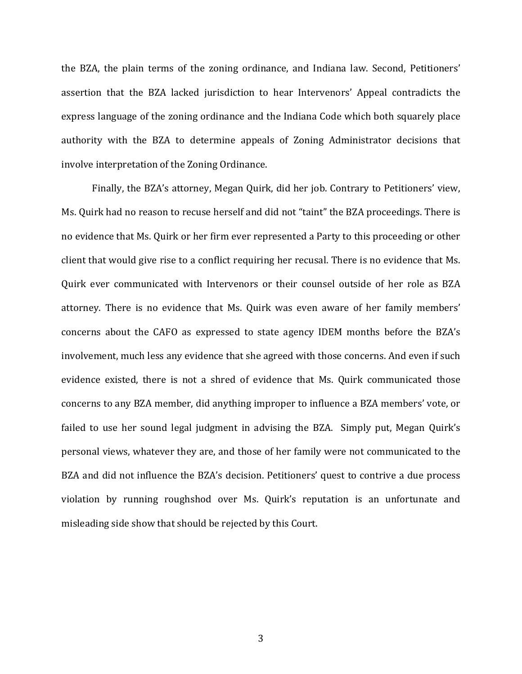the BZA, the plain terms of the zoning ordinance, and Indiana law. Second, Petitioners' assertion that the BZA lacked jurisdiction to hear Intervenors' Appeal contradicts the express language of the zoning ordinance and the Indiana Code which both squarely place authority with the BZA to determine appeals of Zoning Administrator decisions that involve interpretation of the Zoning Ordinance.

Finally, the BZA's attorney, Megan Quirk, did her job. Contrary to Petitioners' view, Ms. Quirk had no reason to recuse herself and did not "taint" the BZA proceedings. There is no evidence that Ms. Quirk or her firm ever represented a Party to this proceeding or other client that would give rise to a conflict requiring her recusal. There is no evidence that Ms. Quirk ever communicated with Intervenors or their counsel outside of her role as BZA attorney. There is no evidence that Ms. Quirk was even aware of her family members' concerns about the CAFO as expressed to state agency IDEM months before the BZA's involvement, much less any evidence that she agreed with those concerns. And even if such evidence existed, there is not a shred of evidence that Ms. Quirk communicated those concerns to any BZA member, did anything improper to influence a BZA members' vote, or failed to use her sound legal judgment in advising the BZA. Simply put, Megan Quirk's personal views, whatever they are, and those of her family were not communicated to the BZA and did not influence the BZA's decision. Petitioners' quest to contrive a due process violation by running roughshod over Ms. Quirk's reputation is an unfortunate and misleading side show that should be rejected by this Court.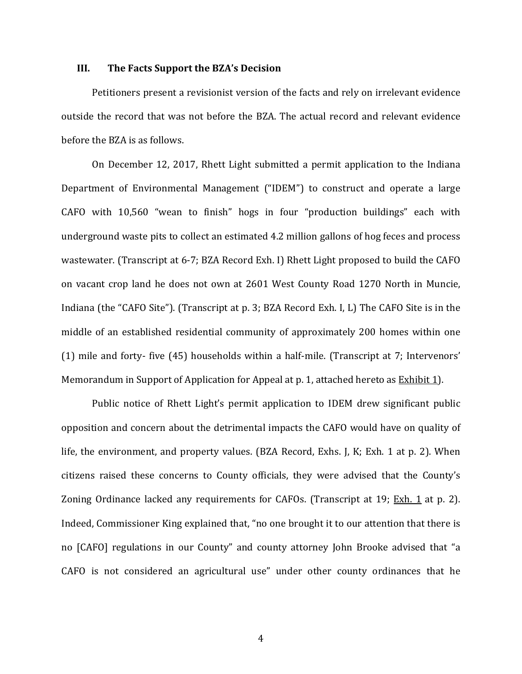#### **III.** The Facts Support the BZA's Decision

Petitioners present a revisionist version of the facts and rely on irrelevant evidence outside the record that was not before the BZA. The actual record and relevant evidence before the BZA is as follows.

On December 12, 2017, Rhett Light submitted a permit application to the Indiana Department of Environmental Management ("IDEM") to construct and operate a large CAFO with 10,560 "wean to finish" hogs in four "production buildings" each with underground waste pits to collect an estimated 4.2 million gallons of hog feces and process wastewater. (Transcript at 6-7; BZA Record Exh. I) Rhett Light proposed to build the CAFO on vacant crop land he does not own at 2601 West County Road 1270 North in Muncie, Indiana (the "CAFO Site"). (Transcript at p. 3; BZA Record Exh. I, L) The CAFO Site is in the middle of an established residential community of approximately 200 homes within one (1) mile and forty- five  $(45)$  households within a half-mile. (Transcript at 7; Intervenors' Memorandum in Support of Application for Appeal at p. 1, attached hereto as Exhibit 1).

Public notice of Rhett Light's permit application to IDEM drew significant public opposition and concern about the detrimental impacts the CAFO would have on quality of life, the environment, and property values. (BZA Record, Exhs. J, K; Exh. 1 at p. 2). When citizens raised these concerns to County officials, they were advised that the County's Zoning Ordinance lacked any requirements for CAFOs. (Transcript at 19;  $Exh. 1$  at p. 2). Indeed, Commissioner King explained that, "no one brought it to our attention that there is no [CAFO] regulations in our County" and county attorney John Brooke advised that "a CAFO is not considered an agricultural use" under other county ordinances that he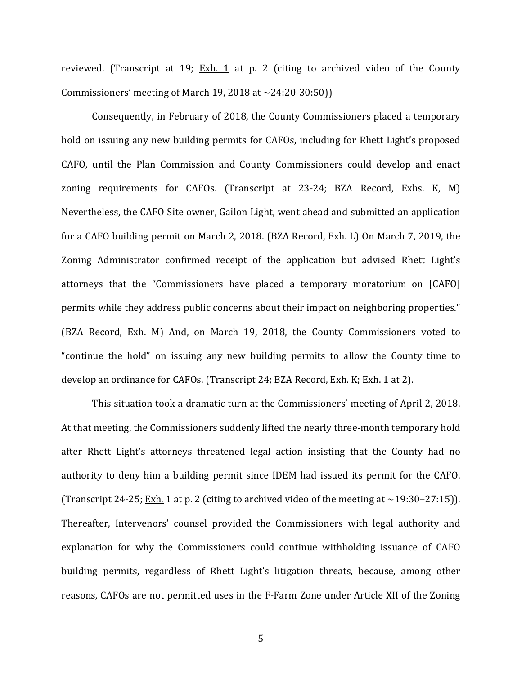reviewed. (Transcript at 19;  $Exh$ . 1 at p. 2 (citing to archived video of the County Commissioners' meeting of March 19, 2018 at  $\sim$  24:20-30:50))

Consequently, in February of 2018, the County Commissioners placed a temporary hold on issuing any new building permits for CAFOs, including for Rhett Light's proposed CAFO, until the Plan Commission and County Commissioners could develop and enact zoning requirements for CAFOs. (Transcript at 23-24; BZA Record, Exhs. K, M) Nevertheless, the CAFO Site owner, Gailon Light, went ahead and submitted an application for a CAFO building permit on March 2, 2018. (BZA Record, Exh. L) On March 7, 2019, the Zoning Administrator confirmed receipt of the application but advised Rhett Light's attorneys that the "Commissioners have placed a temporary moratorium on [CAFO] permits while they address public concerns about their impact on neighboring properties." (BZA Record, Exh. M) And, on March 19, 2018, the County Commissioners voted to "continue the hold" on issuing any new building permits to allow the County time to develop an ordinance for CAFOs. (Transcript 24; BZA Record, Exh. K; Exh. 1 at 2).

This situation took a dramatic turn at the Commissioners' meeting of April 2, 2018. At that meeting, the Commissioners suddenly lifted the nearly three-month temporary hold after Rhett Light's attorneys threatened legal action insisting that the County had no authority to deny him a building permit since IDEM had issued its permit for the CAFO. (Transcript 24-25;  $\frac{Exh}{2}$  1 at p. 2 (citing to archived video of the meeting at ~19:30–27:15)). Thereafter, Intervenors' counsel provided the Commissioners with legal authority and explanation for why the Commissioners could continue withholding issuance of CAFO building permits, regardless of Rhett Light's litigation threats, because, among other reasons, CAFOs are not permitted uses in the F-Farm Zone under Article XII of the Zoning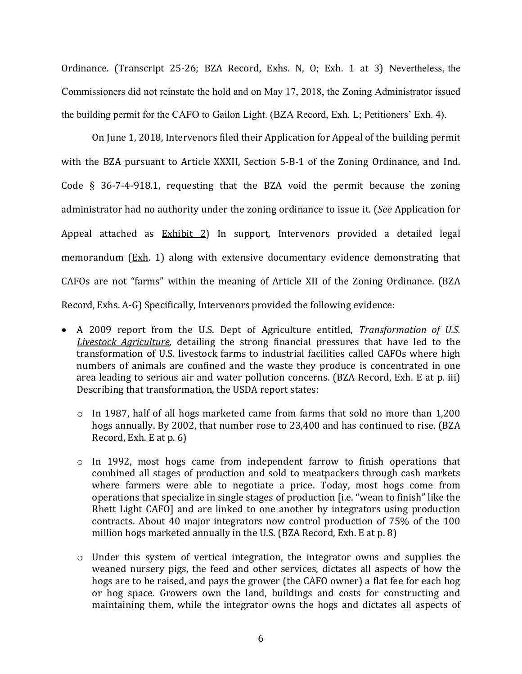Ordinance. (Transcript 25-26; BZA Record, Exhs. N, O; Exh. 1 at 3) Nevertheless, the Commissioners did not reinstate the hold and on May 17, 2018, the Zoning Administrator issued the building permit for the CAFO to Gailon Light. (BZA Record, Exh. L; Petitioners' Exh. 4).

On June 1, 2018, Intervenors filed their Application for Appeal of the building permit with the BZA pursuant to Article XXXII, Section 5-B-1 of the Zoning Ordinance, and Ind. Code  $\S$  36-7-4-918.1, requesting that the BZA void the permit because the zoning administrator had no authority under the zoning ordinance to issue it. (*See* Application for Appeal attached as  $Exhibit 2$ ) In support, Intervenors provided a detailed legal memorandum  $(Exh. 1)$  along with extensive documentary evidence demonstrating that CAFOs are not "farms" within the meaning of Article XII of the Zoning Ordinance. (BZA Record, Exhs. A-G) Specifically, Intervenors provided the following evidence:

- A 2009 report from the U.S. Dept of Agriculture entitled, *Transformation of U.S. Livestock Agriculture*, detailing the strong financial pressures that have led to the transformation of U.S. livestock farms to industrial facilities called CAFOs where high numbers of animals are confined and the waste they produce is concentrated in one area leading to serious air and water pollution concerns. (BZA Record, Exh. E at p. iii) Describing that transformation, the USDA report states:
	- $\circ$  In 1987, half of all hogs marketed came from farms that sold no more than 1,200 hogs annually. By 2002, that number rose to 23,400 and has continued to rise. (BZA Record, Exh. E at  $p. 6$ )
	- $\circ$  In 1992, most hogs came from independent farrow to finish operations that combined all stages of production and sold to meatpackers through cash markets where farmers were able to negotiate a price. Today, most hogs come from operations that specialize in single stages of production [i.e. "wean to finish" like the Rhett Light CAFO] and are linked to one another by integrators using production contracts. About 40 major integrators now control production of 75% of the 100 million hogs marketed annually in the U.S. (BZA Record, Exh. E at p. 8)
	- $\circ$  Under this system of vertical integration, the integrator owns and supplies the weaned nursery pigs, the feed and other services, dictates all aspects of how the hogs are to be raised, and pays the grower (the CAFO owner) a flat fee for each hog or hog space. Growers own the land, buildings and costs for constructing and maintaining them, while the integrator owns the hogs and dictates all aspects of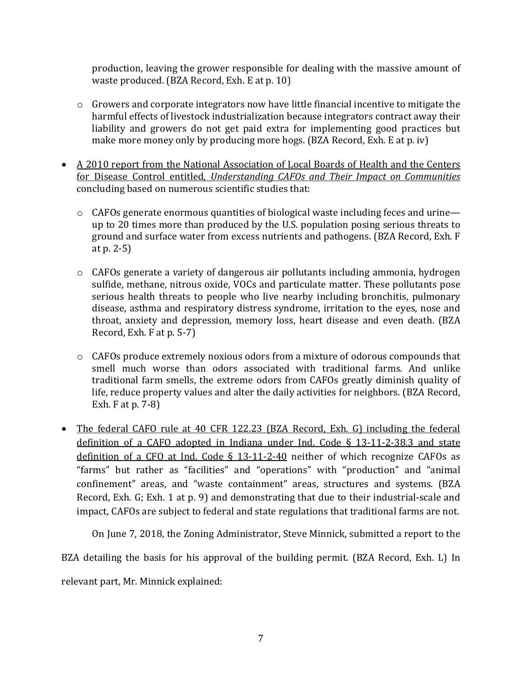production, leaving the grower responsible for dealing with the massive amount of waste produced. (BZA Record, Exh. E at p. 10)

- $\circ$  Growers and corporate integrators now have little financial incentive to mitigate the harmful effects of livestock industrialization because integrators contract away their liability and growers do not get paid extra for implementing good practices but make more money only by producing more hogs. (BZA Record, Exh. E at p. iv)
- A 2010 report from the National Association of Local Boards of Health and the Centers for Disease Control entitled, *Understanding CAFOs and Their Impact on Communities* concluding based on numerous scientific studies that:
	- $\circ$  CAFOs generate enormous quantities of biological waste including feces and urine up to  $20$  times more than produced by the U.S. population posing serious threats to ground and surface water from excess nutrients and pathogens. (BZA Record, Exh. F at  $p. 2-5$ )
	- $\circ$  CAFOs generate a variety of dangerous air pollutants including ammonia, hydrogen sulfide, methane, nitrous oxide, VOCs and particulate matter. These pollutants pose serious health threats to people who live nearby including bronchitis, pulmonary disease, asthma and respiratory distress syndrome, irritation to the eyes, nose and throat, anxiety and depression, memory loss, heart disease and even death. (BZA Record, Exh.  $F$  at  $p. 5-7$ )
	- $\circ$  CAFOs produce extremely noxious odors from a mixture of odorous compounds that smell much worse than odors associated with traditional farms. And unlike traditional farm smells, the extreme odors from CAFOs greatly diminish quality of life, reduce property values and alter the daily activities for neighbors. (BZA Record, Exh.  $F$  at p. 7-8)
- The federal CAFO rule at 40 CFR 122.23 (BZA Record, Exh. G) including the federal definition of a CAFO adopted in Indiana under Ind. Code  $\S$  13-11-2-38.3 and state definition of a CFO at Ind. Code  $\S$  13-11-2-40 neither of which recognize CAFOs as "farms" but rather as "facilities" and "operations" with "production" and "animal confinement" areas, and "waste containment" areas, structures and systems. (BZA Record, Exh. G; Exh. 1 at p. 9) and demonstrating that due to their industrial-scale and impact, CAFOs are subject to federal and state regulations that traditional farms are not.

On June 7, 2018, the Zoning Administrator, Steve Minnick, submitted a report to the

BZA detailing the basis for his approval of the building permit. (BZA Record, Exh. L) In

relevant part, Mr. Minnick explained: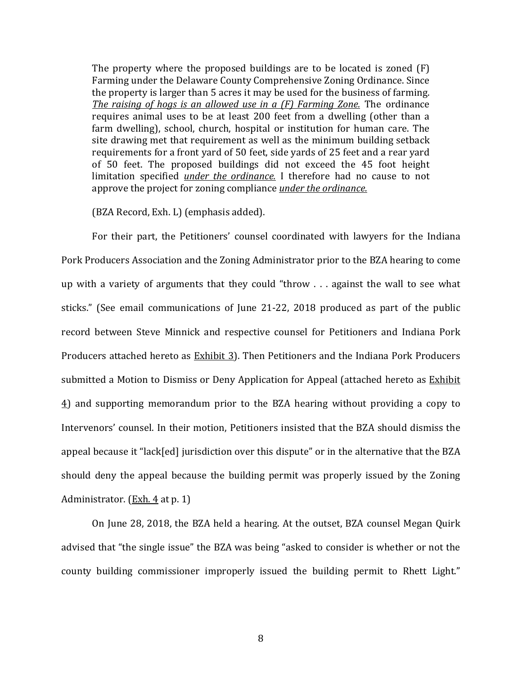The property where the proposed buildings are to be located is zoned  $(F)$ Farming under the Delaware County Comprehensive Zoning Ordinance. Since the property is larger than 5 acres it may be used for the business of farming. *The raising of hogs is an allowed use in a (F) Farming Zone.* The ordinance requires animal uses to be at least 200 feet from a dwelling (other than a farm dwelling), school, church, hospital or institution for human care. The site drawing met that requirement as well as the minimum building setback requirements for a front yard of 50 feet, side yards of 25 feet and a rear yard of 50 feet. The proposed buildings did not exceed the 45 foot height limitation specified *under the ordinance*. I therefore had no cause to not approve the project for zoning compliance *under the ordinance*.

(BZA Record, Exh. L) (emphasis added).

For their part, the Petitioners' counsel coordinated with lawyers for the Indiana Pork Producers Association and the Zoning Administrator prior to the BZA hearing to come up with a variety of arguments that they could "throw . . . against the wall to see what sticks." (See email communications of June 21-22, 2018 produced as part of the public record between Steve Minnick and respective counsel for Petitioners and Indiana Pork Producers attached hereto as Exhibit 3). Then Petitioners and the Indiana Pork Producers submitted a Motion to Dismiss or Deny Application for Appeal (attached hereto as Exhibit  $\overline{4}$ ) and supporting memorandum prior to the BZA hearing without providing a copy to Intervenors' counsel. In their motion, Petitioners insisted that the BZA should dismiss the appeal because it "lack[ed] jurisdiction over this dispute" or in the alternative that the BZA should deny the appeal because the building permit was properly issued by the Zoning Administrator.  $(Exh. 4$  at p. 1)

On June 28, 2018, the BZA held a hearing. At the outset, BZA counsel Megan Quirk advised that "the single issue" the BZA was being "asked to consider is whether or not the county building commissioner improperly issued the building permit to Rhett Light."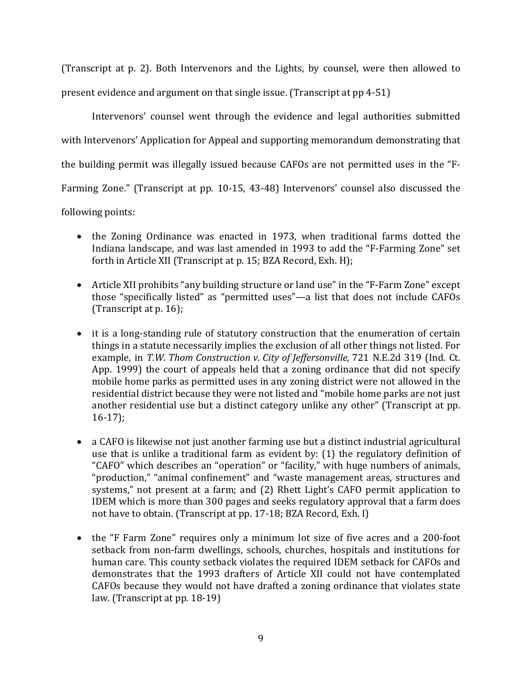(Transcript at p. 2). Both Intervenors and the Lights, by counsel, were then allowed to

present evidence and argument on that single issue. (Transcript at pp 4-51)

Intervenors' counsel went through the evidence and legal authorities submitted with Intervenors' Application for Appeal and supporting memorandum demonstrating that the building permit was illegally issued because CAFOs are not permitted uses in the "F-Farming Zone." (Transcript at pp. 10-15, 43-48) Intervenors' counsel also discussed the following points:

- the Zoning Ordinance was enacted in 1973, when traditional farms dotted the Indiana landscape, and was last amended in 1993 to add the "F-Farming Zone" set forth in Article XII (Transcript at p. 15; BZA Record, Exh. H);
- Article XII prohibits "any building structure or land use" in the "F-Farm Zone" except those "specifically listed" as "permitted uses"—a list that does not include CAFOs (Transcript at  $p. 16$ );
- it is a long-standing rule of statutory construction that the enumeration of certain things in a statute necessarily implies the exclusion of all other things not listed. For example, in *T.W. Thom Construction v. City of Jeffersonville*, 721 N.E.2d 319 (Ind. Ct. App. 1999) the court of appeals held that a zoning ordinance that did not specify mobile home parks as permitted uses in any zoning district were not allowed in the residential district because they were not listed and "mobile home parks are not just another residential use but a distinct category unlike any other" (Transcript at pp. 16-17);
- a CAFO is likewise not just another farming use but a distinct industrial agricultural use that is unlike a traditional farm as evident by:  $(1)$  the regulatory definition of "CAFO" which describes an "operation" or "facility," with huge numbers of animals, "production," "animal confinement" and "waste management areas, structures and systems," not present at a farm; and  $(2)$  Rhett Light's CAFO permit application to IDEM which is more than 300 pages and seeks regulatory approval that a farm does not have to obtain. (Transcript at pp. 17-18; BZA Record, Exh. I)
- the "F Farm Zone" requires only a minimum lot size of five acres and a 200-foot setback from non-farm dwellings, schools, churches, hospitals and institutions for human care. This county setback violates the required IDEM setback for CAFOs and demonstrates that the 1993 drafters of Article XII could not have contemplated CAFOs because they would not have drafted a zoning ordinance that violates state  $law. (Transcript at pp. 18-19)$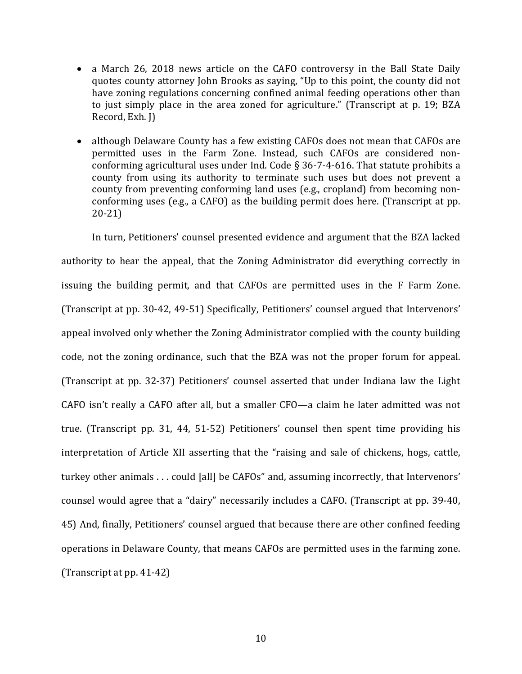- a March 26, 2018 news article on the CAFO controversy in the Ball State Daily quotes county attorney John Brooks as saying, "Up to this point, the county did not have zoning regulations concerning confined animal feeding operations other than to just simply place in the area zoned for agriculture." (Transcript at p. 19; BZA Record, Exh. I)
- although Delaware County has a few existing CAFOs does not mean that CAFOs are permitted uses in the Farm Zone. Instead, such CAFOs are considered nonconforming agricultural uses under Ind. Code  $\S$  36-7-4-616. That statute prohibits a county from using its authority to terminate such uses but does not prevent a county from preventing conforming land uses (e.g., cropland) from becoming nonconforming uses (e.g., a CAFO) as the building permit does here. (Transcript at pp. 20-21)

In turn, Petitioners' counsel presented evidence and argument that the BZA lacked authority to hear the appeal, that the Zoning Administrator did everything correctly in issuing the building permit, and that CAFOs are permitted uses in the F Farm Zone. (Transcript at pp. 30-42, 49-51) Specifically, Petitioners' counsel argued that Intervenors' appeal involved only whether the Zoning Administrator complied with the county building code, not the zoning ordinance, such that the BZA was not the proper forum for appeal. (Transcript at pp. 32-37) Petitioners' counsel asserted that under Indiana law the Light CAFO isn't really a CAFO after all, but a smaller CFO—a claim he later admitted was not true. (Transcript pp. 31, 44, 51-52) Petitioners' counsel then spent time providing his interpretation of Article XII asserting that the "raising and sale of chickens, hogs, cattle, turkey other animals . . . could [all] be CAFOs" and, assuming incorrectly, that Intervenors' counsel would agree that a "dairy" necessarily includes a CAFO. (Transcript at pp. 39-40, 45) And, finally, Petitioners' counsel argued that because there are other confined feeding operations in Delaware County, that means CAFOs are permitted uses in the farming zone.  $(Transcript at pp. 41-42)$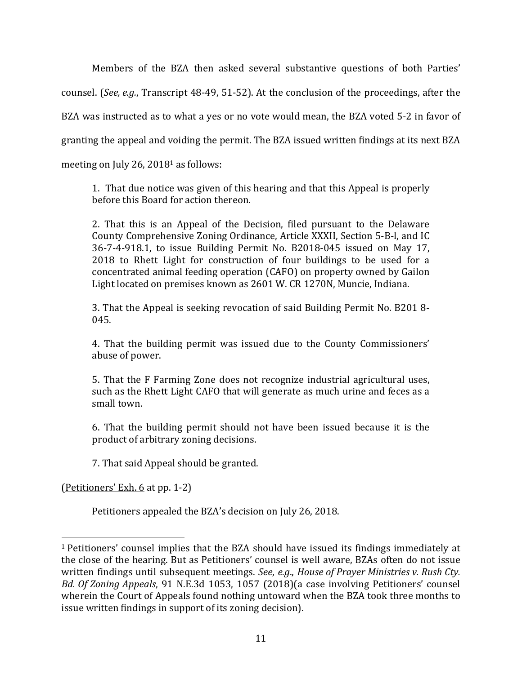Members of the BZA then asked several substantive questions of both Parties' counsel. (*See, e.g.*, Transcript 48-49, 51-52). At the conclusion of the proceedings, after the BZA was instructed as to what a yes or no vote would mean, the BZA voted 5-2 in favor of granting the appeal and voiding the permit. The BZA issued written findings at its next BZA meeting on July 26,  $2018<sup>1</sup>$  as follows:

1. That due notice was given of this hearing and that this Appeal is properly before this Board for action thereon.

2. That this is an Appeal of the Decision, filed pursuant to the Delaware County Comprehensive Zoning Ordinance, Article XXXII, Section 5-B-l, and IC 36-7-4-918.1, to issue Building Permit No. B2018-045 issued on May 17, 2018 to Rhett Light for construction of four buildings to be used for a concentrated animal feeding operation (CAFO) on property owned by Gailon Light located on premises known as 2601 W. CR 1270N, Muncie, Indiana.

3. That the Appeal is seeking revocation of said Building Permit No. B201 8-045.

4. That the building permit was issued due to the County Commissioners' abuse of power.

5. That the F Farming Zone does not recognize industrial agricultural uses, such as the Rhett Light CAFO that will generate as much urine and feces as a small town.

6. That the building permit should not have been issued because it is the product of arbitrary zoning decisions.

7. That said Appeal should be granted.

(Petitioners' Exh. 6 at pp. 1-2)

 

Petitioners appealed the BZA's decision on July 26, 2018.

 $1$  Petitioners' counsel implies that the BZA should have issued its findings immediately at the close of the hearing. But as Petitioners' counsel is well aware, BZAs often do not issue written findings until subsequent meetings. *See, e.g., House of Prayer Ministries v. Rush Cty. Bd. Of Zoning Appeals*, 91 N.E.3d 1053, 1057 (2018)(a case involving Petitioners' counsel wherein the Court of Appeals found nothing untoward when the BZA took three months to issue written findings in support of its zoning decision).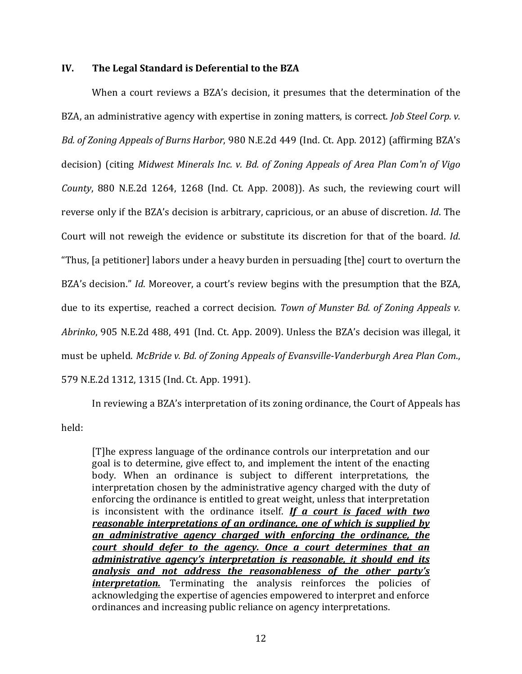## **IV.** The Legal Standard is Deferential to the BZA

When a court reviews a BZA's decision, it presumes that the determination of the BZA, an administrative agency with expertise in zoning matters, is correct. *Job Steel Corp. v. Bd. of Zoning Appeals of Burns Harbor*, 980 N.E.2d 449 (Ind. Ct. App. 2012) (affirming BZA's decision) (citing *Midwest Minerals Inc. v. Bd. of Zoning Appeals of Area Plan Com'n of Vigo County*, 880 N.E.2d 1264, 1268 (Ind. Ct. App. 2008)). As such, the reviewing court will reverse only if the BZA's decision is arbitrary, capricious, or an abuse of discretion. *Id*. The Court will not reweigh the evidence or substitute its discretion for that of the board. *Id*. "Thus, [a petitioner] labors under a heavy burden in persuading [the] court to overturn the BZA's decision." *Id*. Moreover, a court's review begins with the presumption that the BZA, due to its expertise, reached a correct decision. *Town of Munster Bd. of Zoning Appeals v.* Abrinko, 905 N.E.2d 488, 491 (Ind. Ct. App. 2009). Unless the BZA's decision was illegal, it must be upheld. *McBride v. Bd. of Zoning Appeals of Evansville-Vanderburgh Area Plan Com.*, 579 N.E.2d 1312, 1315 (Ind. Ct. App. 1991).

In reviewing a BZA's interpretation of its zoning ordinance, the Court of Appeals has held: 

[T]he express language of the ordinance controls our interpretation and our goal is to determine, give effect to, and implement the intent of the enacting body. When an ordinance is subject to different interpretations, the interpretation chosen by the administrative agency charged with the duty of enforcing the ordinance is entitled to great weight, unless that interpretation is inconsistent with the ordinance itself. *If a court is faced with two reasonable interpretations of an ordinance, one of which is supplied by an administrative agency charged with enforcing the ordinance, the court should defer to the agency. Once a court determines that an ddministrative agency's interpretation is reasonable, it should end its analysis* and not address the reasonableness of the other party's *interpretation*. Terminating the analysis reinforces the policies of acknowledging the expertise of agencies empowered to interpret and enforce ordinances and increasing public reliance on agency interpretations.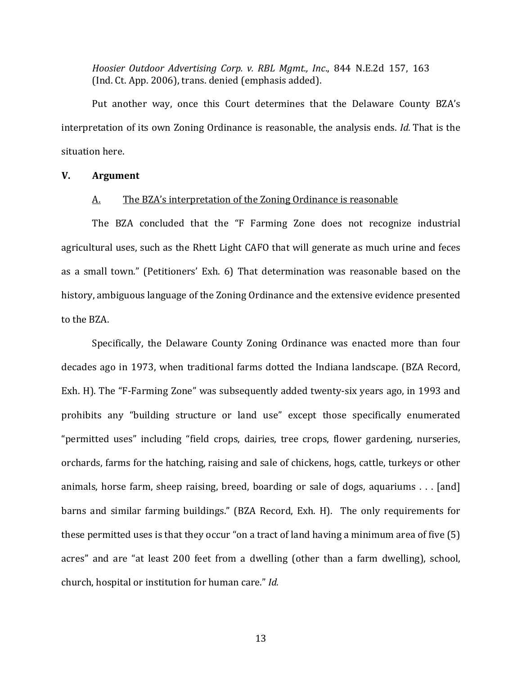*Hoosier Outdoor Advertising Corp. v. RBL Mgmt., Inc., 844 N.E.2d 157, 163* (Ind. Ct. App. 2006), trans. denied (emphasis added).

Put another way, once this Court determines that the Delaware County BZA's interpretation of its own Zoning Ordinance is reasonable, the analysis ends. *Id.* That is the situation here.

#### **V. Argument**

#### A. The BZA's interpretation of the Zoning Ordinance is reasonable

The BZA concluded that the "F Farming Zone does not recognize industrial agricultural uses, such as the Rhett Light CAFO that will generate as much urine and feces as a small town." (Petitioners' Exh. 6) That determination was reasonable based on the history, ambiguous language of the Zoning Ordinance and the extensive evidence presented to the BZA.

Specifically, the Delaware County Zoning Ordinance was enacted more than four decades ago in 1973, when traditional farms dotted the Indiana landscape. (BZA Record, Exh. H). The "F-Farming Zone" was subsequently added twenty-six years ago, in 1993 and prohibits any "building structure or land use" except those specifically enumerated "permitted uses" including "field crops, dairies, tree crops, flower gardening, nurseries, orchards, farms for the hatching, raising and sale of chickens, hogs, cattle, turkeys or other animals, horse farm, sheep raising, breed, boarding or sale of dogs, aquariums  $\dots$  [and] barns and similar farming buildings." (BZA Record, Exh. H). The only requirements for these permitted uses is that they occur "on a tract of land having a minimum area of five  $(5)$ acres" and are "at least 200 feet from a dwelling (other than a farm dwelling), school, church, hospital or institution for human care." *Id.*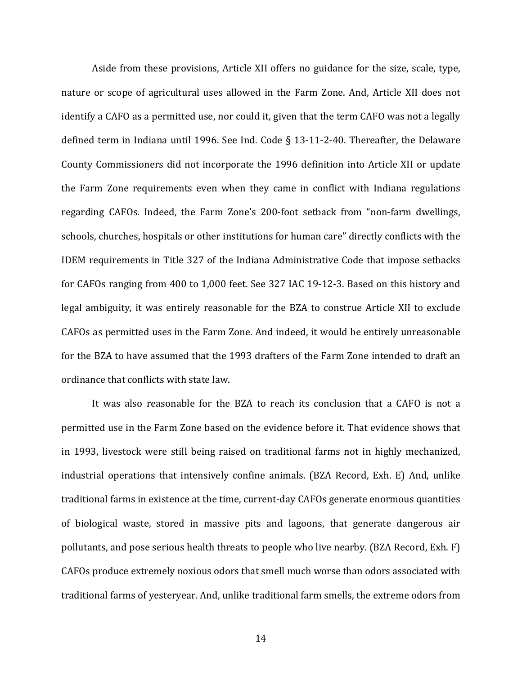Aside from these provisions, Article XII offers no guidance for the size, scale, type, nature or scope of agricultural uses allowed in the Farm Zone. And, Article XII does not identify a CAFO as a permitted use, nor could it, given that the term CAFO was not a legally defined term in Indiana until 1996. See Ind. Code § 13-11-2-40. Thereafter, the Delaware County Commissioners did not incorporate the 1996 definition into Article XII or update the Farm Zone requirements even when they came in conflict with Indiana regulations regarding CAFOs. Indeed, the Farm Zone's 200-foot setback from "non-farm dwellings, schools, churches, hospitals or other institutions for human care" directly conflicts with the IDEM requirements in Title 327 of the Indiana Administrative Code that impose setbacks for CAFOs ranging from 400 to 1,000 feet. See 327 IAC 19-12-3. Based on this history and legal ambiguity, it was entirely reasonable for the BZA to construe Article XII to exclude CAFOs as permitted uses in the Farm Zone. And indeed, it would be entirely unreasonable for the BZA to have assumed that the 1993 drafters of the Farm Zone intended to draft an ordinance that conflicts with state law.

It was also reasonable for the BZA to reach its conclusion that a CAFO is not a permitted use in the Farm Zone based on the evidence before it. That evidence shows that in 1993, livestock were still being raised on traditional farms not in highly mechanized, industrial operations that intensively confine animals. (BZA Record, Exh. E) And, unlike traditional farms in existence at the time, current-day CAFOs generate enormous quantities of biological waste, stored in massive pits and lagoons, that generate dangerous air pollutants, and pose serious health threats to people who live nearby. (BZA Record, Exh. F) CAFOs produce extremely noxious odors that smell much worse than odors associated with traditional farms of yesteryear. And, unlike traditional farm smells, the extreme odors from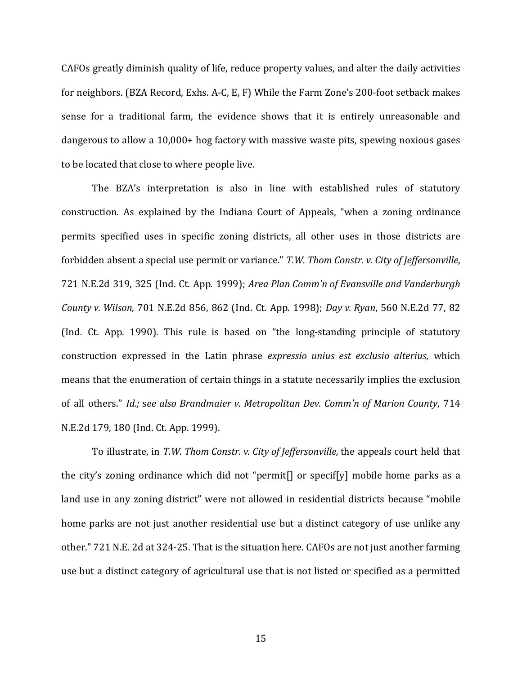CAFOs greatly diminish quality of life, reduce property values, and alter the daily activities for neighbors. (BZA Record, Exhs. A-C, E, F) While the Farm Zone's 200-foot setback makes sense for a traditional farm, the evidence shows that it is entirely unreasonable and dangerous to allow a 10,000+ hog factory with massive waste pits, spewing noxious gases to be located that close to where people live.

The BZA's interpretation is also in line with established rules of statutory construction. As explained by the Indiana Court of Appeals, "when a zoning ordinance permits specified uses in specific zoning districts, all other uses in those districts are forbidden absent a special use permit or variance." *T.W. Thom Constr. v. City of Jeffersonville*, 721 N.E.2d 319, 325 (Ind. Ct. App. 1999); *Area Plan Comm'n of Evansville and Vanderburgh County v. Wilson,* 701 N.E.2d 856, 862 (Ind. Ct. App. 1998); *Day v. Ryan,* 560 N.E.2d 77, 82 (Ind. Ct. App. 1990). This rule is based on "the long-standing principle of statutory construction expressed in the Latin phrase *expressio unius est exclusio alterius*, which means that the enumeration of certain things in a statute necessarily implies the exclusion of all others." *Id.;* see also Brandmaier v. Metropolitan Dev. Comm'n of Marion County, 714 N.E.2d 179, 180 (Ind. Ct. App. 1999).

To illustrate, in *T.W. Thom Constr. v. City of Jeffersonville*, the appeals court held that the city's zoning ordinance which did not "permit<sup>[]</sup> or specif[y] mobile home parks as a land use in any zoning district" were not allowed in residential districts because "mobile home parks are not just another residential use but a distinct category of use unlike any other." 721 N.E. 2d at 324-25. That is the situation here. CAFOs are not just another farming use but a distinct category of agricultural use that is not listed or specified as a permitted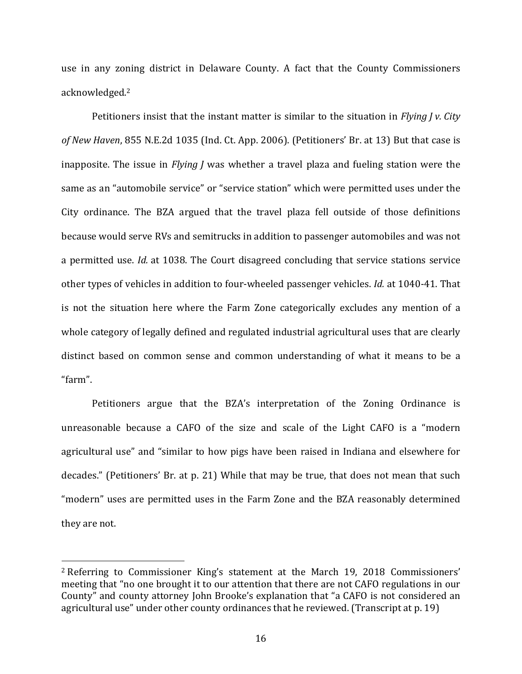use in any zoning district in Delaware County. A fact that the County Commissioners acknowledged. 2

Petitioners insist that the instant matter is similar to the situation in *Flying I v. City* of New Haven, 855 N.E.2d 1035 (Ind. Ct. App. 2006). (Petitioners' Br. at 13) But that case is inapposite. The issue in *Flying J* was whether a travel plaza and fueling station were the same as an "automobile service" or "service station" which were permitted uses under the City ordinance. The BZA argued that the travel plaza fell outside of those definitions because would serve RVs and semitrucks in addition to passenger automobiles and was not a permitted use. *Id.* at 1038. The Court disagreed concluding that service stations service other types of vehicles in addition to four-wheeled passenger vehicles. *Id.* at 1040-41. That is not the situation here where the Farm Zone categorically excludes any mention of a whole category of legally defined and regulated industrial agricultural uses that are clearly distinct based on common sense and common understanding of what it means to be a "farm". 

Petitioners argue that the BZA's interpretation of the Zoning Ordinance is unreasonable because a CAFO of the size and scale of the Light CAFO is a "modern agricultural use" and "similar to how pigs have been raised in Indiana and elsewhere for decades." (Petitioners' Br. at p. 21) While that may be true, that does not mean that such "modern" uses are permitted uses in the Farm Zone and the BZA reasonably determined they are not.

<sup>&</sup>lt;sup>2</sup> Referring to Commissioner King's statement at the March 19, 2018 Commissioners' meeting that "no one brought it to our attention that there are not CAFO regulations in our County" and county attorney John Brooke's explanation that "a CAFO is not considered an agricultural use" under other county ordinances that he reviewed. (Transcript at p. 19)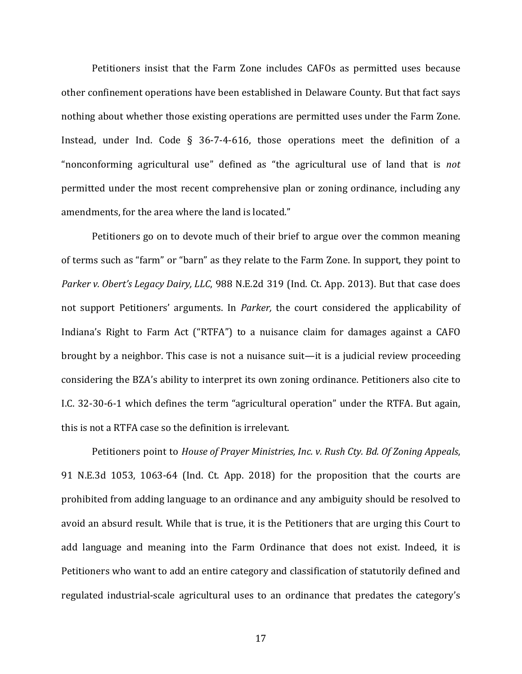Petitioners insist that the Farm Zone includes CAFOs as permitted uses because other confinement operations have been established in Delaware County. But that fact says nothing about whether those existing operations are permitted uses under the Farm Zone. Instead, under Ind. Code § 36-7-4-616, those operations meet the definition of a "nonconforming agricultural use" defined as "the agricultural use of land that is *not* permitted under the most recent comprehensive plan or zoning ordinance, including any amendments, for the area where the land is located."

Petitioners go on to devote much of their brief to argue over the common meaning of terms such as "farm" or "barn" as they relate to the Farm Zone. In support, they point to *Parker v. Obert's Legacy Dairy, LLC, 988 N.E.2d 319 (Ind. Ct. App. 2013). But that case does* not support Petitioners' arguments. In *Parker*, the court considered the applicability of Indiana's Right to Farm Act ("RTFA") to a nuisance claim for damages against a CAFO brought by a neighbor. This case is not a nuisance suit—it is a judicial review proceeding considering the BZA's ability to interpret its own zoning ordinance. Petitioners also cite to I.C. 32-30-6-1 which defines the term "agricultural operation" under the RTFA. But again, this is not a RTFA case so the definition is irrelevant.

Petitioners point to *House of Prayer Ministries, Inc. v. Rush Cty. Bd. Of Zoning Appeals,* 91 N.E.3d 1053, 1063-64 (Ind. Ct. App. 2018) for the proposition that the courts are prohibited from adding language to an ordinance and any ambiguity should be resolved to avoid an absurd result. While that is true, it is the Petitioners that are urging this Court to add language and meaning into the Farm Ordinance that does not exist. Indeed, it is Petitioners who want to add an entire category and classification of statutorily defined and regulated industrial-scale agricultural uses to an ordinance that predates the category's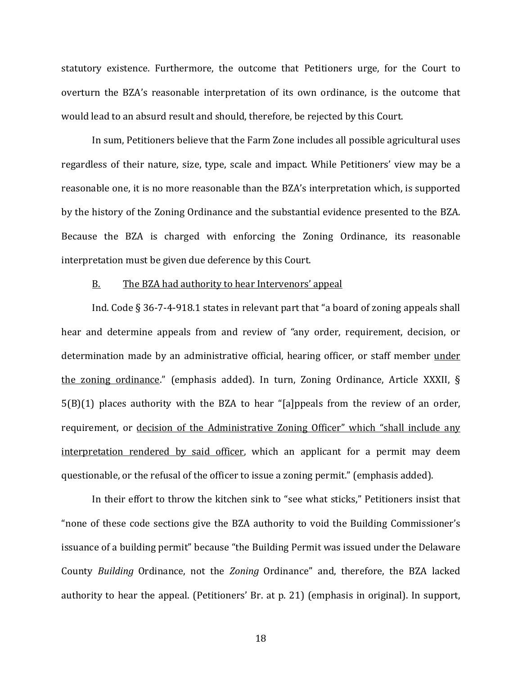statutory existence. Furthermore, the outcome that Petitioners urge, for the Court to overturn the BZA's reasonable interpretation of its own ordinance, is the outcome that would lead to an absurd result and should, therefore, be rejected by this Court.

In sum, Petitioners believe that the Farm Zone includes all possible agricultural uses regardless of their nature, size, type, scale and impact. While Petitioners' view may be a reasonable one, it is no more reasonable than the BZA's interpretation which, is supported by the history of the Zoning Ordinance and the substantial evidence presented to the BZA. Because the BZA is charged with enforcing the Zoning Ordinance, its reasonable interpretation must be given due deference by this Court.

#### B. The BZA had authority to hear Intervenors' appeal

Ind. Code  $\S 36-7-4-918.1$  states in relevant part that "a board of zoning appeals shall hear and determine appeals from and review of "any order, requirement, decision, or determination made by an administrative official, hearing officer, or staff member under the zoning ordinance." (emphasis added). In turn, Zoning Ordinance, Article XXXII,  $\S$  $5(B)(1)$  places authority with the BZA to hear "[a]ppeals from the review of an order, requirement, or decision of the Administrative Zoning Officer" which "shall include any interpretation rendered by said officer, which an applicant for a permit may deem questionable, or the refusal of the officer to issue a zoning permit." (emphasis added).

In their effort to throw the kitchen sink to "see what sticks," Petitioners insist that " none of these code sections give the BZA authority to void the Building Commissioner's issuance of a building permit" because "the Building Permit was issued under the Delaware County *Building* Ordinance, not the *Zoning* Ordinance" and, therefore, the BZA lacked authority to hear the appeal. (Petitioners' Br. at p. 21) (emphasis in original). In support,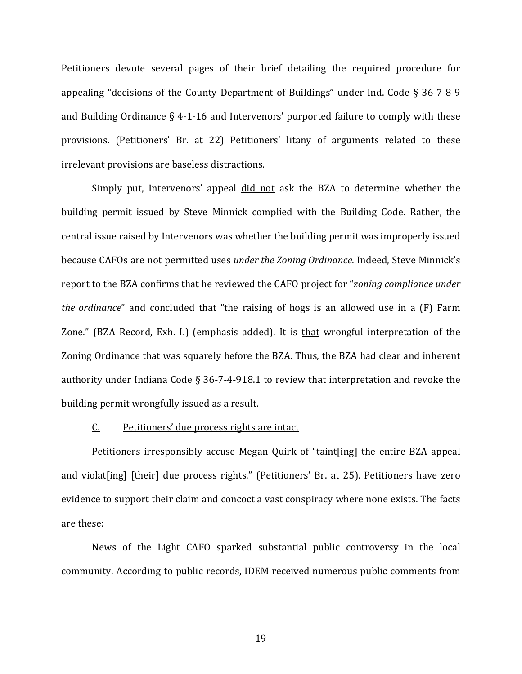Petitioners devote several pages of their brief detailing the required procedure for appealing "decisions of the County Department of Buildings" under Ind. Code  $\S$  36-7-8-9 and Building Ordinance  $\S$  4-1-16 and Intervenors' purported failure to comply with these provisions. (Petitioners' Br. at 22) Petitioners' litany of arguments related to these irrelevant provisions are baseless distractions.

Simply put, Intervenors' appeal did not ask the BZA to determine whether the building permit issued by Steve Minnick complied with the Building Code. Rather, the central issue raised by Intervenors was whether the building permit was improperly issued because CAFOs are not permitted uses *under the Zoning Ordinance*. Indeed, Steve Minnick's report to the BZA confirms that he reviewed the CAFO project for "*zoning compliance under the ordinance*" and concluded that "the raising of hogs is an allowed use in a (F) Farm Zone." (BZA Record, Exh. L) (emphasis added). It is that wrongful interpretation of the Zoning Ordinance that was squarely before the BZA. Thus, the BZA had clear and inherent authority under Indiana Code § 36-7-4-918.1 to review that interpretation and revoke the building permit wrongfully issued as a result.

## $C.$  Petitioners' due process rights are intact

Petitioners irresponsibly accuse Megan Quirk of "taint[ing] the entire BZA appeal and violat[ing] [their] due process rights." (Petitioners' Br. at 25). Petitioners have zero evidence to support their claim and concoct a vast conspiracy where none exists. The facts are these:

News of the Light CAFO sparked substantial public controversy in the local community. According to public records, IDEM received numerous public comments from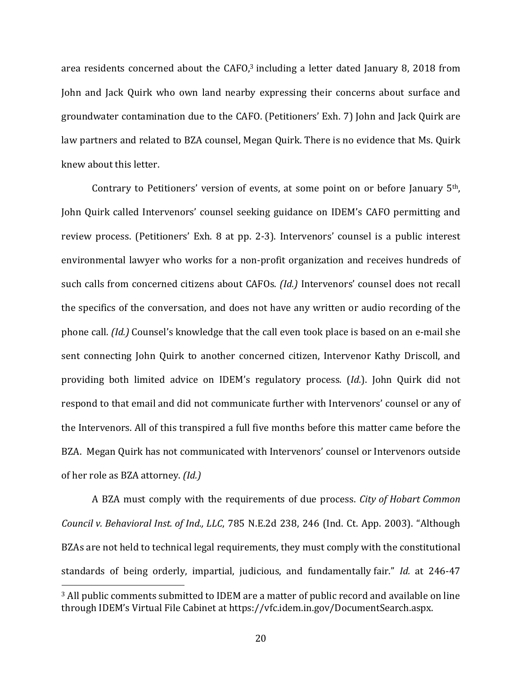area residents concerned about the  $CAFO,3$  including a letter dated January 8, 2018 from John and Jack Quirk who own land nearby expressing their concerns about surface and groundwater contamination due to the CAFO. (Petitioners' Exh. 7) John and Jack Quirk are law partners and related to BZA counsel, Megan Quirk. There is no evidence that Ms. Quirk knew about this letter.

Contrary to Petitioners' version of events, at some point on or before January  $5<sup>th</sup>$ , John Quirk called Intervenors' counsel seeking guidance on IDEM's CAFO permitting and review process. (Petitioners' Exh. 8 at pp. 2-3). Intervenors' counsel is a public interest environmental lawyer who works for a non-profit organization and receives hundreds of such calls from concerned citizens about CAFOs. *(Id.)* Intervenors' counsel does not recall the specifics of the conversation, and does not have any written or audio recording of the phone call. *(Id.)* Counsel's knowledge that the call even took place is based on an e-mail she sent connecting John Quirk to another concerned citizen, Intervenor Kathy Driscoll, and providing both limited advice on IDEM's regulatory process. (*Id.*). John Quirk did not respond to that email and did not communicate further with Intervenors' counsel or any of the Intervenors. All of this transpired a full five months before this matter came before the BZA. Megan Quirk has not communicated with Intervenors' counsel or Intervenors outside of her role as BZA attorney. *(Id.)* 

A BZA must comply with the requirements of due process. *City of Hobart Common Council v. Behavioral Inst. of Ind., LLC, 785 N.E.2d 238, 246 (Ind. Ct. App. 2003).* "Although BZAs are not held to technical legal requirements, they must comply with the constitutional standards of being orderly, impartial, judicious, and fundamentally fair." *Id.* at 246-47

 $3$  All public comments submitted to IDEM are a matter of public record and available on line through IDEM's Virtual File Cabinet at https://vfc.idem.in.gov/DocumentSearch.aspx.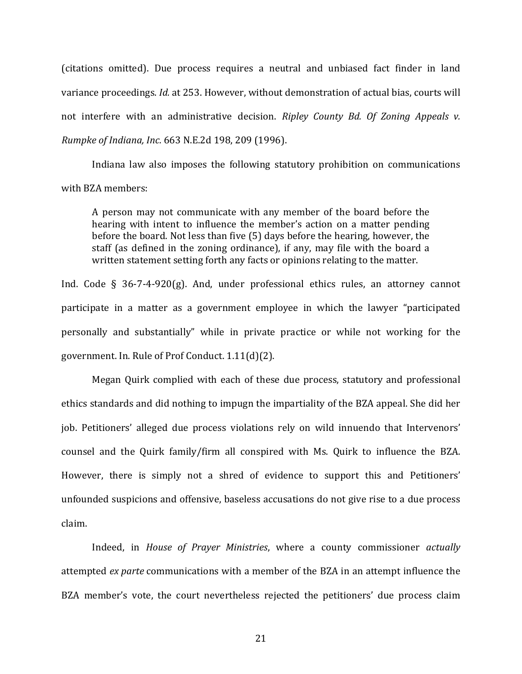(citations omitted). Due process requires a neutral and unbiased fact finder in land variance proceedings. *Id.* at 253. However, without demonstration of actual bias, courts will not interfere with an administrative decision. *Ripley County Bd. Of Zoning Appeals v. Rumpke of Indiana, Inc.* 663 N.E.2d 198, 209 (1996).

Indiana law also imposes the following statutory prohibition on communications with BZA members:

A person may not communicate with any member of the board before the hearing with intent to influence the member's action on a matter pending before the board. Not less than five  $(5)$  days before the hearing, however, the staff (as defined in the zoning ordinance), if any, may file with the board a written statement setting forth any facts or opinions relating to the matter.

Ind. Code § 36-7-4-920(g). And, under professional ethics rules, an attorney cannot participate in a matter as a government employee in which the lawyer "participated personally and substantially" while in private practice or while not working for the government. In. Rule of Prof Conduct. 1.11(d)(2).

Megan Quirk complied with each of these due process, statutory and professional ethics standards and did nothing to impugn the impartiality of the BZA appeal. She did her job. Petitioners' alleged due process violations rely on wild innuendo that Intervenors' counsel and the Quirk family/firm all conspired with Ms. Quirk to influence the BZA. However, there is simply not a shred of evidence to support this and Petitioners' unfounded suspicions and offensive, baseless accusations do not give rise to a due process claim. 

Indeed, in *House of Prayer Ministries*, where a county commissioner *actually* attempted *ex parte* communications with a member of the BZA in an attempt influence the BZA member's vote, the court nevertheless rejected the petitioners' due process claim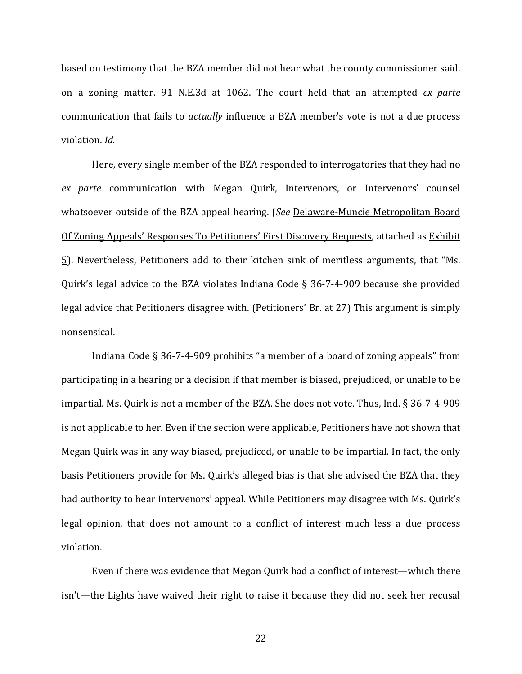based on testimony that the BZA member did not hear what the county commissioner said. on a zoning matter. 91 N.E.3d at 1062. The court held that an attempted *ex parte* communication that fails to *actually* influence a BZA member's vote is not a due process violation. *Id.*

Here, every single member of the BZA responded to interrogatories that they had no *ex parte* communication with Megan Quirk, Intervenors, or Intervenors' counsel whatsoever outside of the BZA appeal hearing. (*See* Delaware-Muncie Metropolitan Board Of Zoning Appeals' Responses To Petitioners' First Discovery Requests, attached as Exhibit  $\overline{5}$ ). Nevertheless, Petitioners add to their kitchen sink of meritless arguments, that "Ms. Quirk's legal advice to the BZA violates Indiana Code  $\S$  36-7-4-909 because she provided legal advice that Petitioners disagree with. (Petitioners' Br. at 27) This argument is simply nonsensical. 

Indiana Code  $\S 36-7-4-909$  prohibits "a member of a board of zoning appeals" from participating in a hearing or a decision if that member is biased, prejudiced, or unable to be impartial. Ms. Quirk is not a member of the BZA. She does not vote. Thus, Ind.  $\S 36-7-4-909$ is not applicable to her. Even if the section were applicable, Petitioners have not shown that Megan Quirk was in any way biased, prejudiced, or unable to be impartial. In fact, the only basis Petitioners provide for Ms. Quirk's alleged bias is that she advised the BZA that they had authority to hear Intervenors' appeal. While Petitioners may disagree with Ms. Quirk's legal opinion, that does not amount to a conflict of interest much less a due process violation.

Even if there was evidence that Megan Quirk had a conflict of interest—which there isn't—the Lights have waived their right to raise it because they did not seek her recusal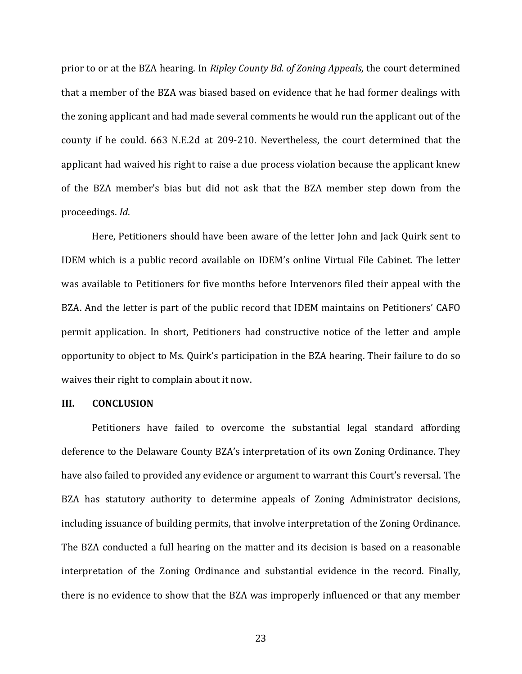prior to or at the BZA hearing. In *Ripley County Bd. of Zoning Appeals*, the court determined that a member of the BZA was biased based on evidence that he had former dealings with the zoning applicant and had made several comments he would run the applicant out of the county if he could. 663 N.E.2d at 209-210. Nevertheless, the court determined that the applicant had waived his right to raise a due process violation because the applicant knew of the BZA member's bias but did not ask that the BZA member step down from the proceedings. *Id*. 

Here, Petitioners should have been aware of the letter John and Jack Quirk sent to IDEM which is a public record available on IDEM's online Virtual File Cabinet. The letter was available to Petitioners for five months before Intervenors filed their appeal with the BZA. And the letter is part of the public record that IDEM maintains on Petitioners' CAFO permit application. In short, Petitioners had constructive notice of the letter and ample opportunity to object to Ms. Quirk's participation in the BZA hearing. Their failure to do so waives their right to complain about it now.

## **III. CONCLUSION**

Petitioners have failed to overcome the substantial legal standard affording deference to the Delaware County BZA's interpretation of its own Zoning Ordinance. They have also failed to provided any evidence or argument to warrant this Court's reversal. The BZA has statutory authority to determine appeals of Zoning Administrator decisions, including issuance of building permits, that involve interpretation of the Zoning Ordinance. The BZA conducted a full hearing on the matter and its decision is based on a reasonable interpretation of the Zoning Ordinance and substantial evidence in the record. Finally, there is no evidence to show that the BZA was improperly influenced or that any member